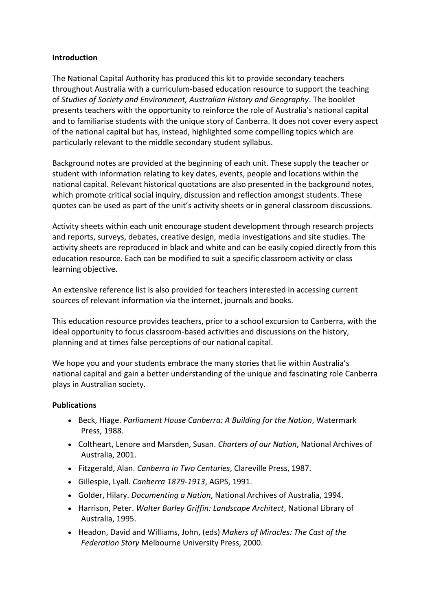#### **Introduction**

The National Capital Authority has produced this kit to provide secondary teachers throughout Australia with a curriculum-based education resource to support the teaching of *Studies of Society and Environment, Australian History and Geography*. The booklet presents teachers with the opportunity to reinforce the role of Australia's national capital and to familiarise students with the unique story of Canberra. It does not cover every aspect of the national capital but has, instead, highlighted some compelling topics which are particularly relevant to the middle secondary student syllabus.

Background notes are provided at the beginning of each unit. These supply the teacher or student with information relating to key dates, events, people and locations within the national capital. Relevant historical quotations are also presented in the background notes, which promote critical social inquiry, discussion and reflection amongst students. These quotes can be used as part of the unit's activity sheets or in general classroom discussions.

Activity sheets within each unit encourage student development through research projects and reports, surveys, debates, creative design, media investigations and site studies. The activity sheets are reproduced in black and white and can be easily copied directly from this education resource. Each can be modified to suit a specific classroom activity or class learning objective.

An extensive reference list is also provided for teachers interested in accessing current sources of relevant information via the internet, journals and books.

This education resource provides teachers, prior to a school excursion to Canberra, with the ideal opportunity to focus classroom-based activities and discussions on the history, planning and at times false perceptions of our national capital.

We hope you and your students embrace the many stories that lie within Australia's national capital and gain a better understanding of the unique and fascinating role Canberra plays in Australian society.

#### **Publications**

- Beck, Hiage. *Parliament House Canberra: A Building for the Nation*, Watermark Press, 1988.
- Coltheart, Lenore and Marsden, Susan. *Charters of our Nation*, National Archives of Australia, 2001.
- Fitzgerald, Alan. *Canberra in Two Centuries*, Clareville Press, 1987.
- Gillespie, Lyall. *Canberra 1879-1913*, AGPS, 1991.
- Golder, Hilary. *Documenting a Nation*, National Archives of Australia, 1994.
- Harrison, Peter. *Walter Burley Griffin: Landscape Architect*, National Library of Australia, 1995.
- Headon, David and Williams, John, (eds) *Makers of Miracles: The Cast of the Federation Story* Melbourne University Press, 2000.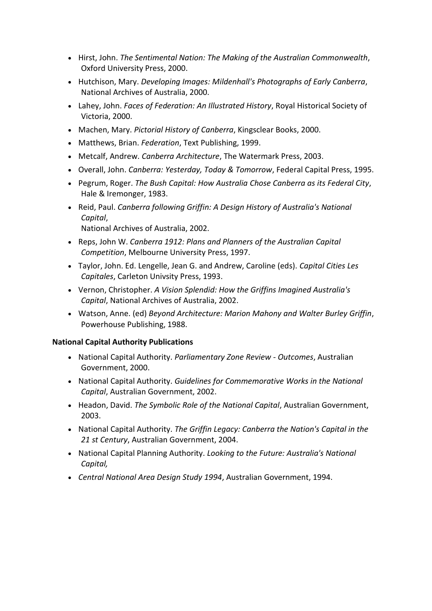- Hirst, John. *The Sentimental Nation: The Making of the Australian Commonwealth*, Oxford University Press, 2000.
- Hutchison, Mary. *Developing Images: Mildenhall's Photographs of Early Canberra*, National Archives of Australia, 2000.
- Lahey, John. *Faces of Federation: An Illustrated History*, Royal Historical Society of Victoria, 2000.
- Machen, Mary. *Pictorial History of Canberra*, Kingsclear Books, 2000.
- Matthews, Brian. *Federation*, Text Publishing, 1999.
- Metcalf, Andrew. *Canberra Architecture*, The Watermark Press, 2003.
- Overall, John. *Canberra: Yesterday, Today & Tomorrow*, Federal Capital Press, 1995.
- Pegrum, Roger. *The Bush Capital: How Australia Chose Canberra as its Federal City*, Hale & Iremonger, 1983.
- Reid, Paul. *Canberra following Griffin: A Design History of Australia's National Capital*,

National Archives of Australia, 2002.

- Reps, John W. *Canberra 1912: Plans and Planners of the Australian Capital Competition*, Melbourne University Press, 1997.
- Taylor, John. Ed. Lengelle, Jean G. and Andrew, Caroline (eds). *Capital Cities Les Capitales*, Carleton Univsity Press, 1993.
- Vernon, Christopher. *A Vision Splendid: How the Griffins Imagined Australia's Capital*, National Archives of Australia, 2002.
- Watson, Anne. (ed) *Beyond Architecture: Marion Mahony and Walter Burley Griffin*, Powerhouse Publishing, 1988.

## **National Capital Authority Publications**

- National Capital Authority. *Parliamentary Zone Review - Outcomes*, Australian Government, 2000.
- National Capital Authority. *Guidelines for Commemorative Works in the National Capital*, Australian Government, 2002.
- Headon, David. *The Symbolic Role of the National Capital*, Australian Government, 2003.
- National Capital Authority. *The Griffin Legacy: Canberra the Nation's Capital in the 21 st Century*, Australian Government, 2004.
- National Capital Planning Authority. *Looking to the Future: Australia's National Capital,*
- *Central National Area Design Study 1994*, Australian Government, 1994.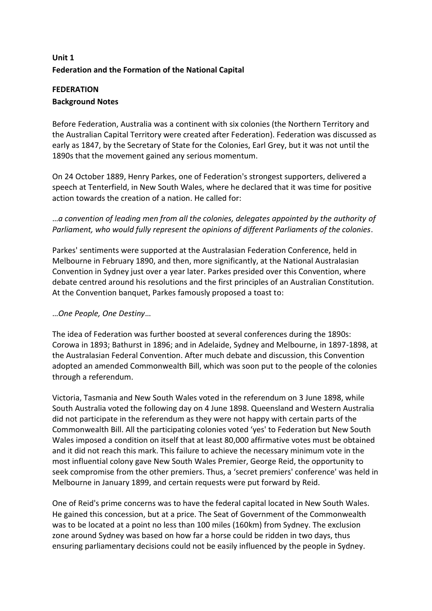# **Unit 1 Federation and the Formation of the National Capital**

## **FEDERATION Background Notes**

Before Federation, Australia was a continent with six colonies (the Northern Territory and the Australian Capital Territory were created after Federation). Federation was discussed as early as 1847, by the Secretary of State for the Colonies, Earl Grey, but it was not until the 1890s that the movement gained any serious momentum.

On 24 October 1889, Henry Parkes, one of Federation's strongest supporters, delivered a speech at Tenterfield, in New South Wales, where he declared that it was time for positive action towards the creation of a nation. He called for:

# …*a convention of leading men from all the colonies, delegates appointed by the authority of Parliament, who would fully represent the opinions of different Parliaments of the colonies*.

Parkes' sentiments were supported at the Australasian Federation Conference, held in Melbourne in February 1890, and then, more significantly, at the National Australasian Convention in Sydney just over a year later. Parkes presided over this Convention, where debate centred around his resolutions and the first principles of an Australian Constitution. At the Convention banquet, Parkes famously proposed a toast to:

## …*One People, One Destiny*…

The idea of Federation was further boosted at several conferences during the 1890s: Corowa in 1893; Bathurst in 1896; and in Adelaide, Sydney and Melbourne, in 1897-1898, at the Australasian Federal Convention. After much debate and discussion, this Convention adopted an amended Commonwealth Bill, which was soon put to the people of the colonies through a referendum.

Victoria, Tasmania and New South Wales voted in the referendum on 3 June 1898, while South Australia voted the following day on 4 June 1898. Queensland and Western Australia did not participate in the referendum as they were not happy with certain parts of the Commonwealth Bill. All the participating colonies voted 'yes' to Federation but New South Wales imposed a condition on itself that at least 80,000 affirmative votes must be obtained and it did not reach this mark. This failure to achieve the necessary minimum vote in the most influential colony gave New South Wales Premier, George Reid, the opportunity to seek compromise from the other premiers. Thus, a 'secret premiers' conference' was held in Melbourne in January 1899, and certain requests were put forward by Reid.

One of Reid's prime concerns was to have the federal capital located in New South Wales. He gained this concession, but at a price. The Seat of Government of the Commonwealth was to be located at a point no less than 100 miles (160km) from Sydney. The exclusion zone around Sydney was based on how far a horse could be ridden in two days, thus ensuring parliamentary decisions could not be easily influenced by the people in Sydney.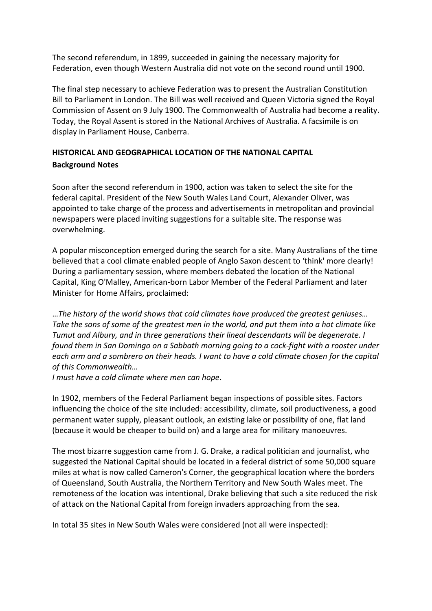The second referendum, in 1899, succeeded in gaining the necessary majority for Federation, even though Western Australia did not vote on the second round until 1900.

The final step necessary to achieve Federation was to present the Australian Constitution Bill to Parliament in London. The Bill was well received and Queen Victoria signed the Royal Commission of Assent on 9 July 1900. The Commonwealth of Australia had become a reality. Today, the Royal Assent is stored in the National Archives of Australia. A facsimile is on display in Parliament House, Canberra.

# **HISTORICAL AND GEOGRAPHICAL LOCATION OF THE NATIONAL CAPITAL Background Notes**

Soon after the second referendum in 1900, action was taken to select the site for the federal capital. President of the New South Wales Land Court, Alexander Oliver, was appointed to take charge of the process and advertisements in metropolitan and provincial newspapers were placed inviting suggestions for a suitable site. The response was overwhelming.

A popular misconception emerged during the search for a site. Many Australians of the time believed that a cool climate enabled people of Anglo Saxon descent to 'think' more clearly! During a parliamentary session, where members debated the location of the National Capital, King O'Malley, American-born Labor Member of the Federal Parliament and later Minister for Home Affairs, proclaimed:

…*The history of the world shows that cold climates have produced the greatest geniuses… Take the sons of some of the greatest men in the world, and put them into a hot climate like Tumut and Albury, and in three generations their lineal descendants will be degenerate. I found them in San Domingo on a Sabbath morning going to a cock-fight with a rooster under each arm and a sombrero on their heads. I want to have a cold climate chosen for the capital of this Commonwealth…*

*I must have a cold climate where men can hope*.

In 1902, members of the Federal Parliament began inspections of possible sites. Factors influencing the choice of the site included: accessibility, climate, soil productiveness, a good permanent water supply, pleasant outlook, an existing lake or possibility of one, flat land (because it would be cheaper to build on) and a large area for military manoeuvres.

The most bizarre suggestion came from J. G. Drake, a radical politician and journalist, who suggested the National Capital should be located in a federal district of some 50,000 square miles at what is now called Cameron's Corner, the geographical location where the borders of Queensland, South Australia, the Northern Territory and New South Wales meet. The remoteness of the location was intentional, Drake believing that such a site reduced the risk of attack on the National Capital from foreign invaders approaching from the sea.

In total 35 sites in New South Wales were considered (not all were inspected):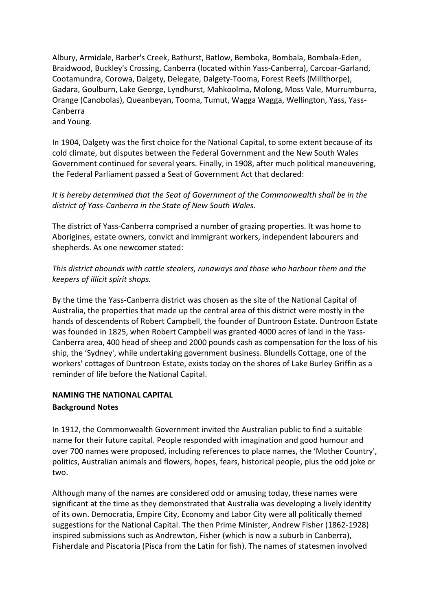Albury, Armidale, Barber's Creek, Bathurst, Batlow, Bemboka, Bombala, Bombala-Eden, Braidwood, Buckley's Crossing, Canberra (located within Yass-Canberra), Carcoar-Garland, Cootamundra, Corowa, Dalgety, Delegate, Dalgety-Tooma, Forest Reefs (Millthorpe), Gadara, Goulburn, Lake George, Lyndhurst, Mahkoolma, Molong, Moss Vale, Murrumburra, Orange (Canobolas), Queanbeyan, Tooma, Tumut, Wagga Wagga, Wellington, Yass, Yass-Canberra and Young.

In 1904, Dalgety was the first choice for the National Capital, to some extent because of its cold climate, but disputes between the Federal Government and the New South Wales Government continued for several years. Finally, in 1908, after much political maneuvering, the Federal Parliament passed a Seat of Government Act that declared:

*It is hereby determined that the Seat of Government of the Commonwealth shall be in the district of Yass-Canberra in the State of New South Wales.*

The district of Yass-Canberra comprised a number of grazing properties. It was home to Aborigines, estate owners, convict and immigrant workers, independent labourers and shepherds. As one newcomer stated:

*This district abounds with cattle stealers, runaways and those who harbour them and the keepers of illicit spirit shops.*

By the time the Yass-Canberra district was chosen as the site of the National Capital of Australia, the properties that made up the central area of this district were mostly in the hands of descendents of Robert Campbell, the founder of Duntroon Estate. Duntroon Estate was founded in 1825, when Robert Campbell was granted 4000 acres of land in the Yass-Canberra area, 400 head of sheep and 2000 pounds cash as compensation for the loss of his ship, the 'Sydney', while undertaking government business. Blundells Cottage, one of the workers' cottages of Duntroon Estate, exists today on the shores of Lake Burley Griffin as a reminder of life before the National Capital.

# **NAMING THE NATIONAL CAPITAL**

## **Background Notes**

In 1912, the Commonwealth Government invited the Australian public to find a suitable name for their future capital. People responded with imagination and good humour and over 700 names were proposed, including references to place names, the 'Mother Country', politics, Australian animals and flowers, hopes, fears, historical people, plus the odd joke or two.

Although many of the names are considered odd or amusing today, these names were significant at the time as they demonstrated that Australia was developing a lively identity of its own. Democratia, Empire City, Economy and Labor City were all politically themed suggestions for the National Capital. The then Prime Minister, Andrew Fisher (1862-1928) inspired submissions such as Andrewton, Fisher (which is now a suburb in Canberra), Fisherdale and Piscatoria (Pisca from the Latin for fish). The names of statesmen involved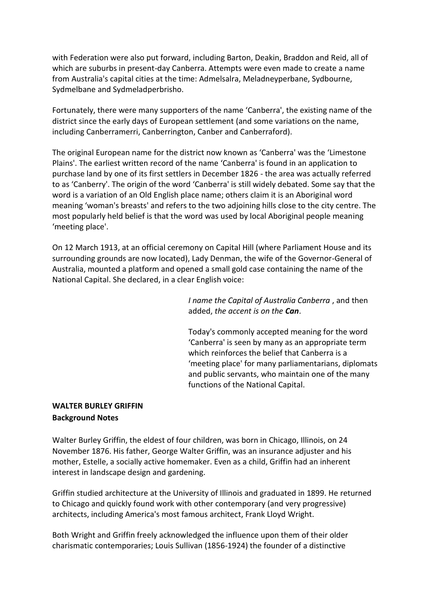with Federation were also put forward, including Barton, Deakin, Braddon and Reid, all of which are suburbs in present-day Canberra. Attempts were even made to create a name from Australia's capital cities at the time: Admelsalra, Meladneyperbane, Sydbourne, Sydmelbane and Sydmeladperbrisho.

Fortunately, there were many supporters of the name 'Canberra', the existing name of the district since the early days of European settlement (and some variations on the name, including Canberramerri, Canberrington, Canber and Canberraford).

The original European name for the district now known as 'Canberra' was the 'Limestone Plains'. The earliest written record of the name 'Canberra' is found in an application to purchase land by one of its first settlers in December 1826 - the area was actually referred to as 'Canberry'. The origin of the word 'Canberra' is still widely debated. Some say that the word is a variation of an Old English place name; others claim it is an Aboriginal word meaning 'woman's breasts' and refers to the two adjoining hills close to the city centre. The most popularly held belief is that the word was used by local Aboriginal people meaning 'meeting place'.

On 12 March 1913, at an official ceremony on Capital Hill (where Parliament House and its surrounding grounds are now located), Lady Denman, the wife of the Governor-General of Australia, mounted a platform and opened a small gold case containing the name of the National Capital. She declared, in a clear English voice:

> *I name the Capital of Australia Canberra* , and then added, *the accent is on the Can*.

Today's commonly accepted meaning for the word 'Canberra' is seen by many as an appropriate term which reinforces the belief that Canberra is a 'meeting place' for many parliamentarians, diplomats and public servants, who maintain one of the many functions of the National Capital.

## **WALTER BURLEY GRIFFIN Background Notes**

Walter Burley Griffin, the eldest of four children, was born in Chicago, Illinois, on 24 November 1876. His father, George Walter Griffin, was an insurance adjuster and his mother, Estelle, a socially active homemaker. Even as a child, Griffin had an inherent interest in landscape design and gardening.

Griffin studied architecture at the University of Illinois and graduated in 1899. He returned to Chicago and quickly found work with other contemporary (and very progressive) architects, including America's most famous architect, Frank Lloyd Wright.

Both Wright and Griffin freely acknowledged the influence upon them of their older charismatic contemporaries; Louis Sullivan (1856-1924) the founder of a distinctive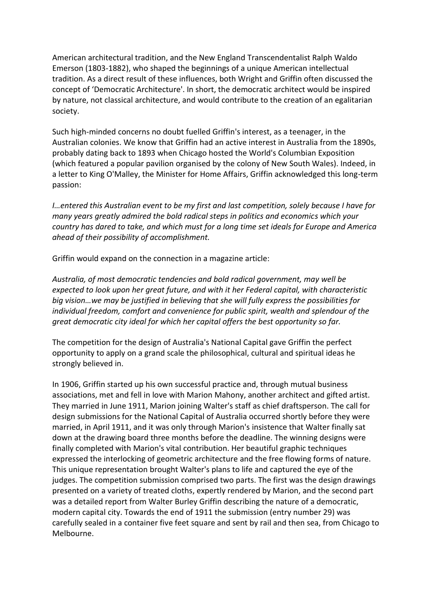American architectural tradition, and the New England Transcendentalist Ralph Waldo Emerson (1803-1882), who shaped the beginnings of a unique American intellectual tradition. As a direct result of these influences, both Wright and Griffin often discussed the concept of 'Democratic Architecture'. In short, the democratic architect would be inspired by nature, not classical architecture, and would contribute to the creation of an egalitarian society.

Such high-minded concerns no doubt fuelled Griffin's interest, as a teenager, in the Australian colonies. We know that Griffin had an active interest in Australia from the 1890s, probably dating back to 1893 when Chicago hosted the World's Columbian Exposition (which featured a popular pavilion organised by the colony of New South Wales). Indeed, in a letter to King O'Malley, the Minister for Home Affairs, Griffin acknowledged this long-term passion:

*I…entered this Australian event to be my first and last competition, solely because I have for many years greatly admired the bold radical steps in politics and economics which your country has dared to take, and which must for a long time set ideals for Europe and America ahead of their possibility of accomplishment.*

Griffin would expand on the connection in a magazine article:

*Australia, of most democratic tendencies and bold radical government, may well be expected to look upon her great future, and with it her Federal capital, with characteristic big vision…we may be justified in believing that she will fully express the possibilities for individual freedom, comfort and convenience for public spirit, wealth and splendour of the great democratic city ideal for which her capital offers the best opportunity so far.*

The competition for the design of Australia's National Capital gave Griffin the perfect opportunity to apply on a grand scale the philosophical, cultural and spiritual ideas he strongly believed in.

In 1906, Griffin started up his own successful practice and, through mutual business associations, met and fell in love with Marion Mahony, another architect and gifted artist. They married in June 1911, Marion joining Walter's staff as chief draftsperson. The call for design submissions for the National Capital of Australia occurred shortly before they were married, in April 1911, and it was only through Marion's insistence that Walter finally sat down at the drawing board three months before the deadline. The winning designs were finally completed with Marion's vital contribution. Her beautiful graphic techniques expressed the interlocking of geometric architecture and the free flowing forms of nature. This unique representation brought Walter's plans to life and captured the eye of the judges. The competition submission comprised two parts. The first was the design drawings presented on a variety of treated cloths, expertly rendered by Marion, and the second part was a detailed report from Walter Burley Griffin describing the nature of a democratic, modern capital city. Towards the end of 1911 the submission (entry number 29) was carefully sealed in a container five feet square and sent by rail and then sea, from Chicago to Melbourne.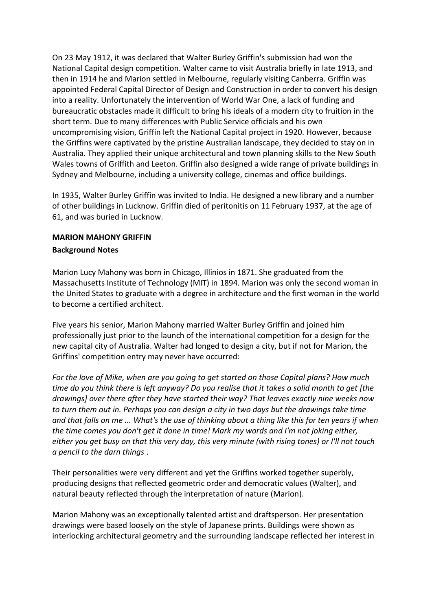On 23 May 1912, it was declared that Walter Burley Griffin's submission had won the National Capital design competition. Walter came to visit Australia briefly in late 1913, and then in 1914 he and Marion settled in Melbourne, regularly visiting Canberra. Griffin was appointed Federal Capital Director of Design and Construction in order to convert his design into a reality. Unfortunately the intervention of World War One, a lack of funding and bureaucratic obstacles made it difficult to bring his ideals of a modern city to fruition in the short term. Due to many differences with Public Service officials and his own uncompromising vision, Griffin left the National Capital project in 1920. However, because the Griffins were captivated by the pristine Australian landscape, they decided to stay on in Australia. They applied their unique architectural and town planning skills to the New South Wales towns of Griffith and Leeton. Griffin also designed a wide range of private buildings in Sydney and Melbourne, including a university college, cinemas and office buildings.

In 1935, Walter Burley Griffin was invited to India. He designed a new library and a number of other buildings in Lucknow. Griffin died of peritonitis on 11 February 1937, at the age of 61, and was buried in Lucknow.

## **MARION MAHONY GRIFFIN Background Notes**

Marion Lucy Mahony was born in Chicago, Illinios in 1871. She graduated from the Massachusetts Institute of Technology (MIT) in 1894. Marion was only the second woman in the United States to graduate with a degree in architecture and the first woman in the world to become a certified architect.

Five years his senior, Marion Mahony married Walter Burley Griffin and joined him professionally just prior to the launch of the international competition for a design for the new capital city of Australia. Walter had longed to design a city, but if not for Marion, the Griffins' competition entry may never have occurred:

*For the love of Mike, when are you going to get started on those Capital plans? How much time do you think there is left anyway? Do you realise that it takes a solid month to get [the drawings] over there after they have started their way? That leaves exactly nine weeks now to turn them out in. Perhaps you can design a city in two days but the drawings take time and that falls on me ... What's the use of thinking about a thing like this for ten years if when the time comes you don't get it done in time! Mark my words and I'm not joking either, either you get busy on that this very day, this very minute (with rising tones) or I'll not touch a pencil to the darn things* .

Their personalities were very different and yet the Griffins worked together superbly, producing designs that reflected geometric order and democratic values (Walter), and natural beauty reflected through the interpretation of nature (Marion).

Marion Mahony was an exceptionally talented artist and draftsperson. Her presentation drawings were based loosely on the style of Japanese prints. Buildings were shown as interlocking architectural geometry and the surrounding landscape reflected her interest in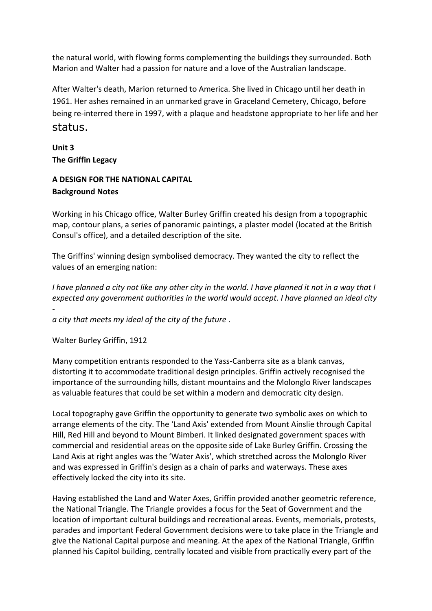the natural world, with flowing forms complementing the buildings they surrounded. Both Marion and Walter had a passion for nature and a love of the Australian landscape.

After Walter's death, Marion returned to America. She lived in Chicago until her death in 1961. Her ashes remained in an unmarked grave in Graceland Cemetery, Chicago, before being re-interred there in 1997, with a plaque and headstone appropriate to her life and her status.

**Unit 3 The Griffin Legacy**

# **A DESIGN FOR THE NATIONAL CAPITAL Background Notes**

Working in his Chicago office, Walter Burley Griffin created his design from a topographic map, contour plans, a series of panoramic paintings, a plaster model (located at the British Consul's office), and a detailed description of the site.

The Griffins' winning design symbolised democracy. They wanted the city to reflect the values of an emerging nation:

*I have planned a city not like any other city in the world. I have planned it not in a way that I expected any government authorities in the world would accept. I have planned an ideal city -*

*a city that meets my ideal of the city of the future* .

Walter Burley Griffin, 1912

Many competition entrants responded to the Yass-Canberra site as a blank canvas, distorting it to accommodate traditional design principles. Griffin actively recognised the importance of the surrounding hills, distant mountains and the Molonglo River landscapes as valuable features that could be set within a modern and democratic city design.

Local topography gave Griffin the opportunity to generate two symbolic axes on which to arrange elements of the city. The 'Land Axis' extended from Mount Ainslie through Capital Hill, Red Hill and beyond to Mount Bimberi. It linked designated government spaces with commercial and residential areas on the opposite side of Lake Burley Griffin. Crossing the Land Axis at right angles was the 'Water Axis', which stretched across the Molonglo River and was expressed in Griffin's design as a chain of parks and waterways. These axes effectively locked the city into its site.

Having established the Land and Water Axes, Griffin provided another geometric reference, the National Triangle. The Triangle provides a focus for the Seat of Government and the location of important cultural buildings and recreational areas. Events, memorials, protests, parades and important Federal Government decisions were to take place in the Triangle and give the National Capital purpose and meaning. At the apex of the National Triangle, Griffin planned his Capitol building, centrally located and visible from practically every part of the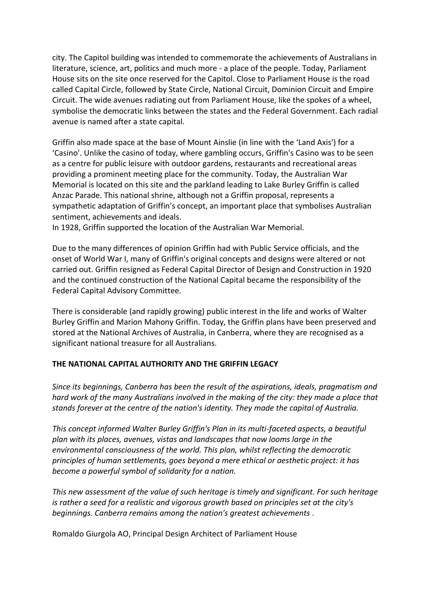city. The Capitol building was intended to commemorate the achievements of Australians in literature, science, art, politics and much more - a place of the people. Today, Parliament House sits on the site once reserved for the Capitol. Close to Parliament House is the road called Capital Circle, followed by State Circle, National Circuit, Dominion Circuit and Empire Circuit. The wide avenues radiating out from Parliament House, like the spokes of a wheel, symbolise the democratic links between the states and the Federal Government. Each radial avenue is named after a state capital.

Griffin also made space at the base of Mount Ainslie (in line with the 'Land Axis') for a 'Casino'. Unlike the casino of today, where gambling occurs, Griffin's Casino was to be seen as a centre for public leisure with outdoor gardens, restaurants and recreational areas providing a prominent meeting place for the community. Today, the Australian War Memorial is located on this site and the parkland leading to Lake Burley Griffin is called Anzac Parade. This national shrine, although not a Griffin proposal, represents a sympathetic adaptation of Griffin's concept, an important place that symbolises Australian sentiment, achievements and ideals.

In 1928, Griffin supported the location of the Australian War Memorial.

Due to the many differences of opinion Griffin had with Public Service officials, and the onset of World War I, many of Griffin's original concepts and designs were altered or not carried out. Griffin resigned as Federal Capital Director of Design and Construction in 1920 and the continued construction of the National Capital became the responsibility of the Federal Capital Advisory Committee.

There is considerable (and rapidly growing) public interest in the life and works of Walter Burley Griffin and Marion Mahony Griffin. Today, the Griffin plans have been preserved and stored at the National Archives of Australia, in Canberra, where they are recognised as a significant national treasure for all Australians.

#### **THE NATIONAL CAPITAL AUTHORITY AND THE GRIFFIN LEGACY**

*Since its beginnings, Canberra has been the result of the aspirations, ideals, pragmatism and hard work of the many Australians involved in the making of the city: they made a place that stands forever at the centre of the nation's identity. They made the capital of Australia.*

*This concept informed Walter Burley Griffin's Plan in its multi-faceted aspects, a beautiful plan with its places, avenues, vistas and landscapes that now looms large in the environmental consciousness of the world. This plan, whilst reflecting the democratic principles of human settlements, goes beyond a mere ethical or aesthetic project: it has become a powerful symbol of solidarity for a nation.*

*This new assessment of the value of such heritage is timely and significant. For such heritage is rather a seed for a realistic and vigorous growth based on principles set at the city's beginnings. Canberra remains among the nation's greatest achievements* .

Romaldo Giurgola AO, Principal Design Architect of Parliament House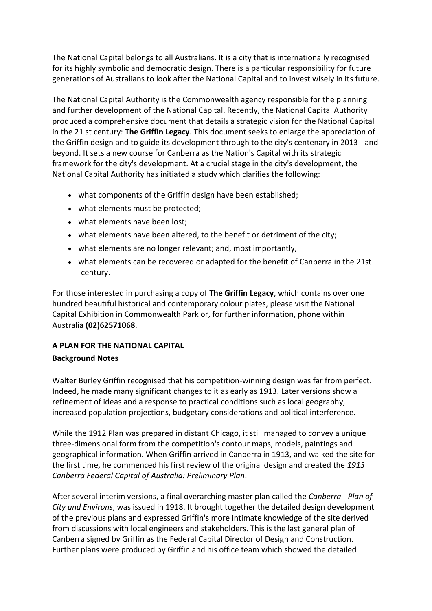The National Capital belongs to all Australians. It is a city that is internationally recognised for its highly symbolic and democratic design. There is a particular responsibility for future generations of Australians to look after the National Capital and to invest wisely in its future.

The National Capital Authority is the Commonwealth agency responsible for the planning and further development of the National Capital. Recently, the National Capital Authority produced a comprehensive document that details a strategic vision for the National Capital in the 21 st century: **The Griffin Legacy**. This document seeks to enlarge the appreciation of the Griffin design and to guide its development through to the city's centenary in 2013 - and beyond. It sets a new course for Canberra as the Nation's Capital with its strategic framework for the city's development. At a crucial stage in the city's development, the National Capital Authority has initiated a study which clarifies the following:

- what components of the Griffin design have been established;
- what elements must be protected;
- what elements have been lost;
- what elements have been altered, to the benefit or detriment of the city;
- what elements are no longer relevant; and, most importantly,
- what elements can be recovered or adapted for the benefit of Canberra in the 21st century.

For those interested in purchasing a copy of **The Griffin Legacy**, which contains over one hundred beautiful historical and contemporary colour plates, please visit the National Capital Exhibition in Commonwealth Park or, for further information, phone within Australia **(02)62571068**.

# **A PLAN FOR THE NATIONAL CAPITAL Background Notes**

Walter Burley Griffin recognised that his competition-winning design was far from perfect. Indeed, he made many significant changes to it as early as 1913. Later versions show a refinement of ideas and a response to practical conditions such as local geography, increased population projections, budgetary considerations and political interference.

While the 1912 Plan was prepared in distant Chicago, it still managed to convey a unique three-dimensional form from the competition's contour maps, models, paintings and geographical information. When Griffin arrived in Canberra in 1913, and walked the site for the first time, he commenced his first review of the original design and created the *1913 Canberra Federal Capital of Australia: Preliminary Plan*.

After several interim versions, a final overarching master plan called the *Canberra - Plan of City and Environs*, was issued in 1918. It brought together the detailed design development of the previous plans and expressed Griffin's more intimate knowledge of the site derived from discussions with local engineers and stakeholders. This is the last general plan of Canberra signed by Griffin as the Federal Capital Director of Design and Construction. Further plans were produced by Griffin and his office team which showed the detailed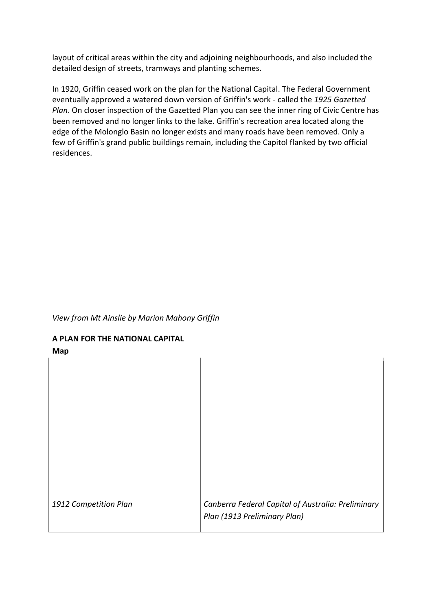layout of critical areas within the city and adjoining neighbourhoods, and also included the detailed design of streets, tramways and planting schemes.

In 1920, Griffin ceased work on the plan for the National Capital. The Federal Government eventually approved a watered down version of Griffin's work - called the *1925 Gazetted Plan*. On closer inspection of the Gazetted Plan you can see the inner ring of Civic Centre has been removed and no longer links to the lake. Griffin's recreation area located along the edge of the Molonglo Basin no longer exists and many roads have been removed. Only a few of Griffin's grand public buildings remain, including the Capitol flanked by two official residences.

#### *View from Mt Ainslie by Marion Mahony Griffin*

## **A PLAN FOR THE NATIONAL CAPITAL**

**Map**

| 1912 Competition Plan | Canberra Federal Capital of Australia: Preliminary<br>Plan (1913 Preliminary Plan) |
|-----------------------|------------------------------------------------------------------------------------|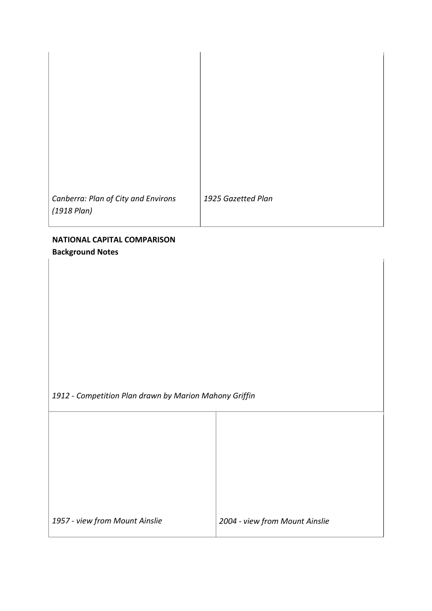*Canberra: Plan of City and Environs (1918 Plan)*

*1925 Gazetted Plan*

# **NATIONAL CAPITAL COMPARISON Background Notes**

*1912 - Competition Plan drawn by Marion Mahony Griffin*

*1957 - view from Mount Ainslie 2004 - view from Mount Ainslie*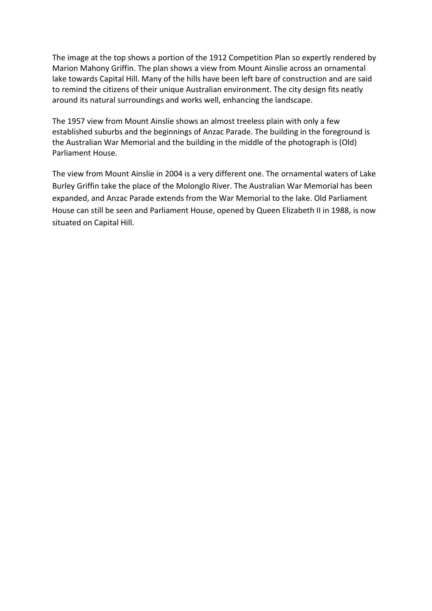The image at the top shows a portion of the 1912 Competition Plan so expertly rendered by Marion Mahony Griffin. The plan shows a view from Mount Ainslie across an ornamental lake towards Capital Hill. Many of the hills have been left bare of construction and are said to remind the citizens of their unique Australian environment. The city design fits neatly around its natural surroundings and works well, enhancing the landscape.

The 1957 view from Mount Ainslie shows an almost treeless plain with only a few established suburbs and the beginnings of Anzac Parade. The building in the foreground is the Australian War Memorial and the building in the middle of the photograph is (Old) Parliament House.

The view from Mount Ainslie in 2004 is a very different one. The ornamental waters of Lake Burley Griffin take the place of the Molonglo River. The Australian War Memorial has been expanded, and Anzac Parade extends from the War Memorial to the lake. Old Parliament House can still be seen and Parliament House, opened by Queen Elizabeth II in 1988, is now situated on Capital Hill.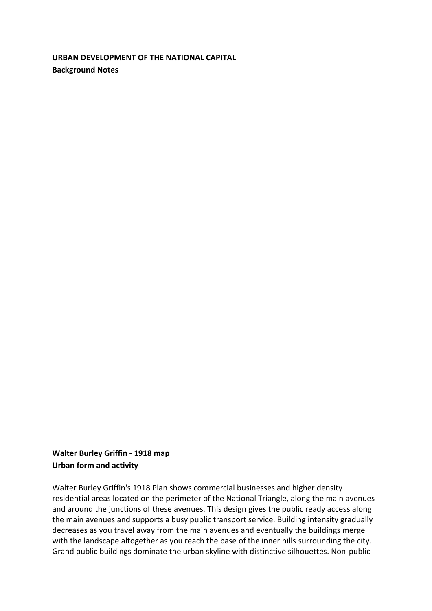**URBAN DEVELOPMENT OF THE NATIONAL CAPITAL Background Notes**

**Walter Burley Griffin - 1918 map Urban form and activity**

Walter Burley Griffin's 1918 Plan shows commercial businesses and higher density residential areas located on the perimeter of the National Triangle, along the main avenues and around the junctions of these avenues. This design gives the public ready access along the main avenues and supports a busy public transport service. Building intensity gradually decreases as you travel away from the main avenues and eventually the buildings merge with the landscape altogether as you reach the base of the inner hills surrounding the city. Grand public buildings dominate the urban skyline with distinctive silhouettes. Non-public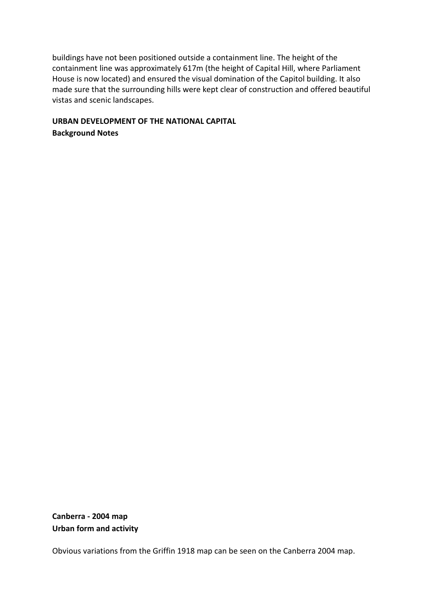buildings have not been positioned outside a containment line. The height of the containment line was approximately 617m (the height of Capital Hill, where Parliament House is now located) and ensured the visual domination of the Capitol building. It also made sure that the surrounding hills were kept clear of construction and offered beautiful vistas and scenic landscapes.

## **URBAN DEVELOPMENT OF THE NATIONAL CAPITAL Background Notes**

**Canberra - 2004 map Urban form and activity**

Obvious variations from the Griffin 1918 map can be seen on the Canberra 2004 map.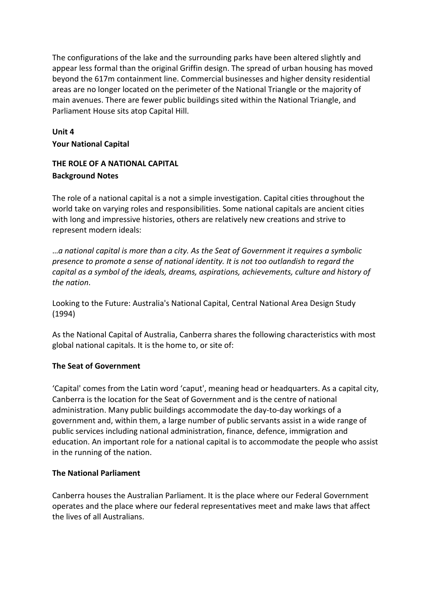The configurations of the lake and the surrounding parks have been altered slightly and appear less formal than the original Griffin design. The spread of urban housing has moved beyond the 617m containment line. Commercial businesses and higher density residential areas are no longer located on the perimeter of the National Triangle or the majority of main avenues. There are fewer public buildings sited within the National Triangle, and Parliament House sits atop Capital Hill.

# **Unit 4 Your National Capital**

# **THE ROLE OF A NATIONAL CAPITAL Background Notes**

The role of a national capital is a not a simple investigation. Capital cities throughout the world take on varying roles and responsibilities. Some national capitals are ancient cities with long and impressive histories, others are relatively new creations and strive to represent modern ideals:

…*a national capital is more than a city. As the Seat of Government it requires a symbolic presence to promote a sense of national identity. It is not too outlandish to regard the capital as a symbol of the ideals, dreams, aspirations, achievements, culture and history of the nation*.

Looking to the Future: Australia's National Capital, Central National Area Design Study (1994)

As the National Capital of Australia, Canberra shares the following characteristics with most global national capitals. It is the home to, or site of:

# **The Seat of Government**

'Capital' comes from the Latin word 'caput', meaning head or headquarters. As a capital city, Canberra is the location for the Seat of Government and is the centre of national administration. Many public buildings accommodate the day-to-day workings of a government and, within them, a large number of public servants assist in a wide range of public services including national administration, finance, defence, immigration and education. An important role for a national capital is to accommodate the people who assist in the running of the nation.

## **The National Parliament**

Canberra houses the Australian Parliament. It is the place where our Federal Government operates and the place where our federal representatives meet and make laws that affect the lives of all Australians.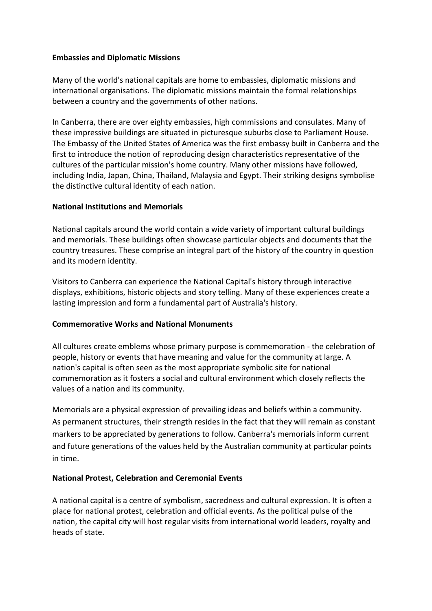#### **Embassies and Diplomatic Missions**

Many of the world's national capitals are home to embassies, diplomatic missions and international organisations. The diplomatic missions maintain the formal relationships between a country and the governments of other nations.

In Canberra, there are over eighty embassies, high commissions and consulates. Many of these impressive buildings are situated in picturesque suburbs close to Parliament House. The Embassy of the United States of America was the first embassy built in Canberra and the first to introduce the notion of reproducing design characteristics representative of the cultures of the particular mission's home country. Many other missions have followed, including India, Japan, China, Thailand, Malaysia and Egypt. Their striking designs symbolise the distinctive cultural identity of each nation.

#### **National Institutions and Memorials**

National capitals around the world contain a wide variety of important cultural buildings and memorials. These buildings often showcase particular objects and documents that the country treasures. These comprise an integral part of the history of the country in question and its modern identity.

Visitors to Canberra can experience the National Capital's history through interactive displays, exhibitions, historic objects and story telling. Many of these experiences create a lasting impression and form a fundamental part of Australia's history.

## **Commemorative Works and National Monuments**

All cultures create emblems whose primary purpose is commemoration - the celebration of people, history or events that have meaning and value for the community at large. A nation's capital is often seen as the most appropriate symbolic site for national commemoration as it fosters a social and cultural environment which closely reflects the values of a nation and its community.

Memorials are a physical expression of prevailing ideas and beliefs within a community. As permanent structures, their strength resides in the fact that they will remain as constant markers to be appreciated by generations to follow. Canberra's memorials inform current and future generations of the values held by the Australian community at particular points in time.

## **National Protest, Celebration and Ceremonial Events**

A national capital is a centre of symbolism, sacredness and cultural expression. It is often a place for national protest, celebration and official events. As the political pulse of the nation, the capital city will host regular visits from international world leaders, royalty and heads of state.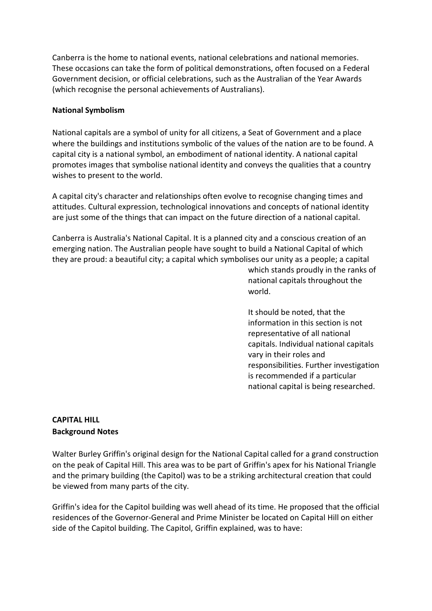Canberra is the home to national events, national celebrations and national memories. These occasions can take the form of political demonstrations, often focused on a Federal Government decision, or official celebrations, such as the Australian of the Year Awards (which recognise the personal achievements of Australians).

#### **National Symbolism**

National capitals are a symbol of unity for all citizens, a Seat of Government and a place where the buildings and institutions symbolic of the values of the nation are to be found. A capital city is a national symbol, an embodiment of national identity. A national capital promotes images that symbolise national identity and conveys the qualities that a country wishes to present to the world.

A capital city's character and relationships often evolve to recognise changing times and attitudes. Cultural expression, technological innovations and concepts of national identity are just some of the things that can impact on the future direction of a national capital.

Canberra is Australia's National Capital. It is a planned city and a conscious creation of an emerging nation. The Australian people have sought to build a National Capital of which they are proud: a beautiful city; a capital which symbolises our unity as a people; a capital

> which stands proudly in the ranks of national capitals throughout the world.

It should be noted, that the information in this section is not representative of all national capitals. Individual national capitals vary in their roles and responsibilities. Further investigation is recommended if a particular national capital is being researched.

## **CAPITAL HILL Background Notes**

Walter Burley Griffin's original design for the National Capital called for a grand construction on the peak of Capital Hill. This area was to be part of Griffin's apex for his National Triangle and the primary building (the Capitol) was to be a striking architectural creation that could be viewed from many parts of the city.

Griffin's idea for the Capitol building was well ahead of its time. He proposed that the official residences of the Governor-General and Prime Minister be located on Capital Hill on either side of the Capitol building. The Capitol, Griffin explained, was to have: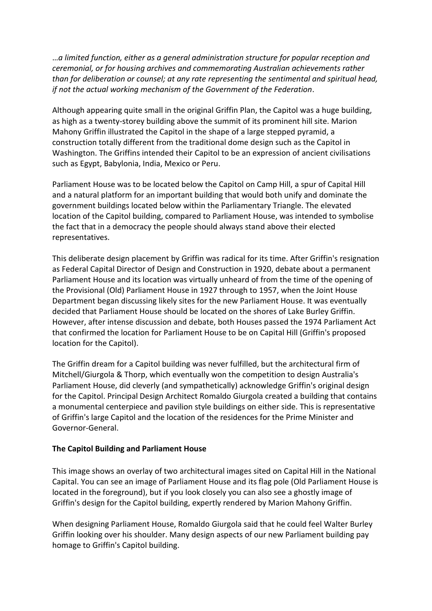…*a limited function, either as a general administration structure for popular reception and ceremonial, or for housing archives and commemorating Australian achievements rather than for deliberation or counsel; at any rate representing the sentimental and spiritual head, if not the actual working mechanism of the Government of the Federation*.

Although appearing quite small in the original Griffin Plan, the Capitol was a huge building, as high as a twenty-storey building above the summit of its prominent hill site. Marion Mahony Griffin illustrated the Capitol in the shape of a large stepped pyramid, a construction totally different from the traditional dome design such as the Capitol in Washington. The Griffins intended their Capitol to be an expression of ancient civilisations such as Egypt, Babylonia, India, Mexico or Peru.

Parliament House was to be located below the Capitol on Camp Hill, a spur of Capital Hill and a natural platform for an important building that would both unify and dominate the government buildings located below within the Parliamentary Triangle. The elevated location of the Capitol building, compared to Parliament House, was intended to symbolise the fact that in a democracy the people should always stand above their elected representatives.

This deliberate design placement by Griffin was radical for its time. After Griffin's resignation as Federal Capital Director of Design and Construction in 1920, debate about a permanent Parliament House and its location was virtually unheard of from the time of the opening of the Provisional (Old) Parliament House in 1927 through to 1957, when the Joint House Department began discussing likely sites for the new Parliament House. It was eventually decided that Parliament House should be located on the shores of Lake Burley Griffin. However, after intense discussion and debate, both Houses passed the 1974 Parliament Act that confirmed the location for Parliament House to be on Capital Hill (Griffin's proposed location for the Capitol).

The Griffin dream for a Capitol building was never fulfilled, but the architectural firm of Mitchell/Giurgola & Thorp, which eventually won the competition to design Australia's Parliament House, did cleverly (and sympathetically) acknowledge Griffin's original design for the Capitol. Principal Design Architect Romaldo Giurgola created a building that contains a monumental centerpiece and pavilion style buildings on either side. This is representative of Griffin's large Capitol and the location of the residences for the Prime Minister and Governor-General.

#### **The Capitol Building and Parliament House**

This image shows an overlay of two architectural images sited on Capital Hill in the National Capital. You can see an image of Parliament House and its flag pole (Old Parliament House is located in the foreground), but if you look closely you can also see a ghostly image of Griffin's design for the Capitol building, expertly rendered by Marion Mahony Griffin.

When designing Parliament House, Romaldo Giurgola said that he could feel Walter Burley Griffin looking over his shoulder. Many design aspects of our new Parliament building pay homage to Griffin's Capitol building.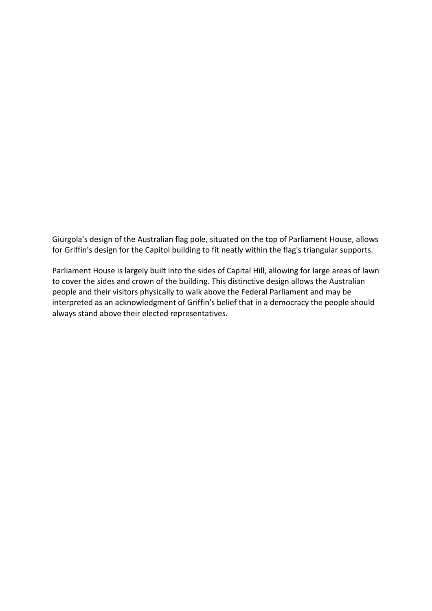Giurgola's design of the Australian flag pole, situated on the top of Parliament House, allows for Griffin's design for the Capitol building to fit neatly within the flag's triangular supports.

Parliament House is largely built into the sides of Capital Hill, allowing for large areas of lawn to cover the sides and crown of the building. This distinctive design allows the Australian people and their visitors physically to walk above the Federal Parliament and may be interpreted as an acknowledgment of Griffin's belief that in a democracy the people should always stand above their elected representatives.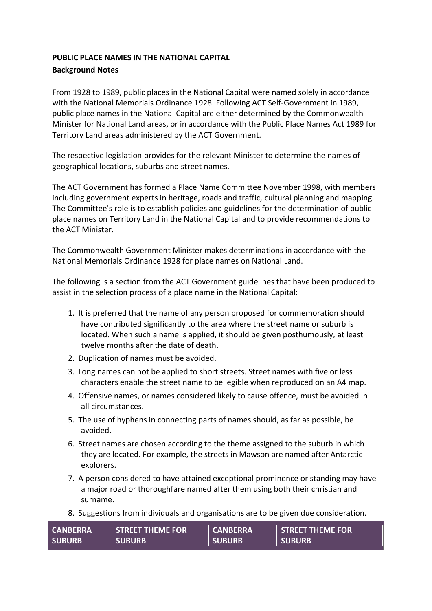# **PUBLIC PLACE NAMES IN THE NATIONAL CAPITAL**

#### **Background Notes**

From 1928 to 1989, public places in the National Capital were named solely in accordance with the National Memorials Ordinance 1928. Following ACT Self-Government in 1989, public place names in the National Capital are either determined by the Commonwealth Minister for National Land areas, or in accordance with the Public Place Names Act 1989 for Territory Land areas administered by the ACT Government.

The respective legislation provides for the relevant Minister to determine the names of geographical locations, suburbs and street names.

The ACT Government has formed a Place Name Committee November 1998, with members including government experts in heritage, roads and traffic, cultural planning and mapping. The Committee's role is to establish policies and guidelines for the determination of public place names on Territory Land in the National Capital and to provide recommendations to the ACT Minister.

The Commonwealth Government Minister makes determinations in accordance with the National Memorials Ordinance 1928 for place names on National Land.

The following is a section from the ACT Government guidelines that have been produced to assist in the selection process of a place name in the National Capital:

- 1. It is preferred that the name of any person proposed for commemoration should have contributed significantly to the area where the street name or suburb is located. When such a name is applied, it should be given posthumously, at least twelve months after the date of death.
- 2. Duplication of names must be avoided.
- 3. Long names can not be applied to short streets. Street names with five or less characters enable the street name to be legible when reproduced on an A4 map.
- 4. Offensive names, or names considered likely to cause offence, must be avoided in all circumstances.
- 5. The use of hyphens in connecting parts of names should, as far as possible, be avoided.
- 6. Street names are chosen according to the theme assigned to the suburb in which they are located. For example, the streets in Mawson are named after Antarctic explorers.
- 7. A person considered to have attained exceptional prominence or standing may have a major road or thoroughfare named after them using both their christian and surname.
- 8. Suggestions from individuals and organisations are to be given due consideration.

| <b>CANBERRA</b> | <b>STREET THEME FOR</b> | <b>CANBERRA</b> | <b>STREET THEME FOR</b> |
|-----------------|-------------------------|-----------------|-------------------------|
| <b>SUBURB</b>   | <b>SUBURB</b>           | <b>SUBURB</b>   | <b>SUBURB</b>           |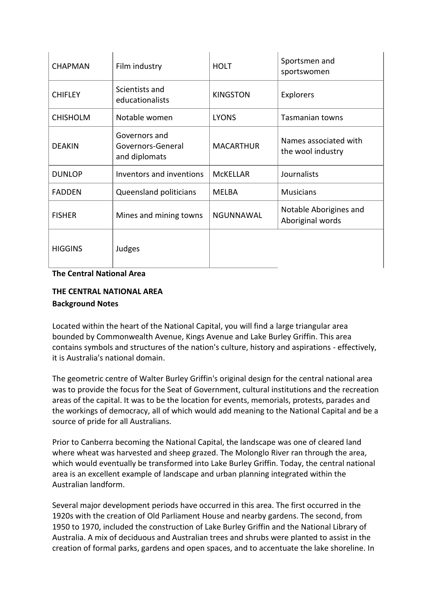| <b>CHAPMAN</b>  | Film industry                                       | <b>HOLT</b>      | Sportsmen and<br>sportswomen               |
|-----------------|-----------------------------------------------------|------------------|--------------------------------------------|
| <b>CHIFLEY</b>  | Scientists and<br>educationalists                   | <b>KINGSTON</b>  | Explorers                                  |
| <b>CHISHOLM</b> | Notable women                                       | <b>LYONS</b>     | <b>Tasmanian towns</b>                     |
| <b>DEAKIN</b>   | Governors and<br>Governors-General<br>and diplomats | <b>MACARTHUR</b> | Names associated with<br>the wool industry |
| <b>DUNLOP</b>   | Inventors and inventions                            | <b>MCKELLAR</b>  | Journalists                                |
| <b>FADDEN</b>   | Queensland politicians                              | <b>MELBA</b>     | <b>Musicians</b>                           |
| <b>FISHER</b>   | Mines and mining towns                              | NGUNNAWAL        | Notable Aborigines and<br>Aboriginal words |
| <b>HIGGINS</b>  | Judges                                              |                  |                                            |

#### **The Central National Area**

## **THE CENTRAL NATIONAL AREA Background Notes**

Located within the heart of the National Capital, you will find a large triangular area bounded by Commonwealth Avenue, Kings Avenue and Lake Burley Griffin. This area contains symbols and structures of the nation's culture, history and aspirations - effectively, it is Australia's national domain.

The geometric centre of Walter Burley Griffin's original design for the central national area was to provide the focus for the Seat of Government, cultural institutions and the recreation areas of the capital. It was to be the location for events, memorials, protests, parades and the workings of democracy, all of which would add meaning to the National Capital and be a source of pride for all Australians.

Prior to Canberra becoming the National Capital, the landscape was one of cleared land where wheat was harvested and sheep grazed. The Molonglo River ran through the area, which would eventually be transformed into Lake Burley Griffin. Today, the central national area is an excellent example of landscape and urban planning integrated within the Australian landform.

Several major development periods have occurred in this area. The first occurred in the 1920s with the creation of Old Parliament House and nearby gardens. The second, from 1950 to 1970, included the construction of Lake Burley Griffin and the National Library of Australia. A mix of deciduous and Australian trees and shrubs were planted to assist in the creation of formal parks, gardens and open spaces, and to accentuate the lake shoreline. In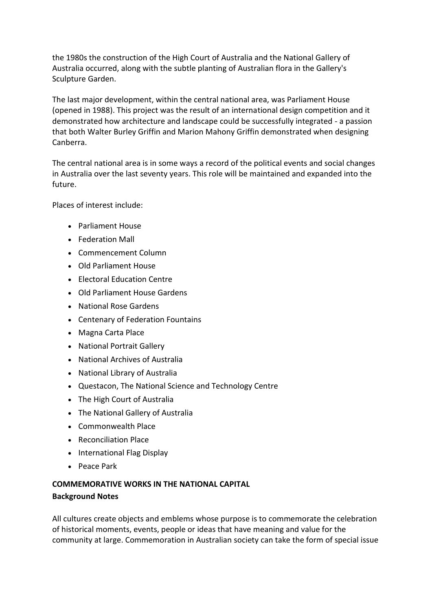the 1980s the construction of the High Court of Australia and the National Gallery of Australia occurred, along with the subtle planting of Australian flora in the Gallery's Sculpture Garden.

The last major development, within the central national area, was Parliament House (opened in 1988). This project was the result of an international design competition and it demonstrated how architecture and landscape could be successfully integrated - a passion that both Walter Burley Griffin and Marion Mahony Griffin demonstrated when designing Canberra.

The central national area is in some ways a record of the political events and social changes in Australia over the last seventy years. This role will be maintained and expanded into the future.

Places of interest include:

- Parliament House
- Federation Mall
- Commencement Column
- Old Parliament House
- Electoral Education Centre
- Old Parliament House Gardens
- National Rose Gardens
- Centenary of Federation Fountains
- Magna Carta Place
- National Portrait Gallery
- National Archives of Australia
- National Library of Australia
- Questacon, The National Science and Technology Centre
- The High Court of Australia
- The National Gallery of Australia
- Commonwealth Place
- Reconciliation Place
- International Flag Display
- Peace Park

# **COMMEMORATIVE WORKS IN THE NATIONAL CAPITAL**

#### **Background Notes**

All cultures create objects and emblems whose purpose is to commemorate the celebration of historical moments, events, people or ideas that have meaning and value for the community at large. Commemoration in Australian society can take the form of special issue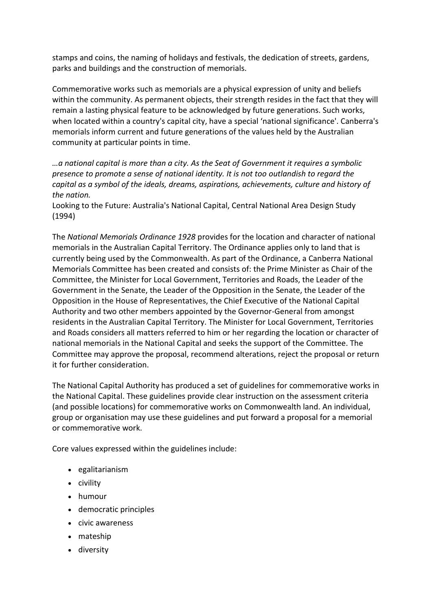stamps and coins, the naming of holidays and festivals, the dedication of streets, gardens, parks and buildings and the construction of memorials.

Commemorative works such as memorials are a physical expression of unity and beliefs within the community. As permanent objects, their strength resides in the fact that they will remain a lasting physical feature to be acknowledged by future generations. Such works, when located within a country's capital city, have a special 'national significance'. Canberra's memorials inform current and future generations of the values held by the Australian community at particular points in time.

*…a national capital is more than a city. As the Seat of Government it requires a symbolic presence to promote a sense of national identity. It is not too outlandish to regard the capital as a symbol of the ideals, dreams, aspirations, achievements, culture and history of the nation.*

Looking to the Future: Australia's National Capital, Central National Area Design Study (1994)

The *National Memorials Ordinance 1928* provides for the location and character of national memorials in the Australian Capital Territory. The Ordinance applies only to land that is currently being used by the Commonwealth. As part of the Ordinance, a Canberra National Memorials Committee has been created and consists of: the Prime Minister as Chair of the Committee, the Minister for Local Government, Territories and Roads, the Leader of the Government in the Senate, the Leader of the Opposition in the Senate, the Leader of the Opposition in the House of Representatives, the Chief Executive of the National Capital Authority and two other members appointed by the Governor-General from amongst residents in the Australian Capital Territory. The Minister for Local Government, Territories and Roads considers all matters referred to him or her regarding the location or character of national memorials in the National Capital and seeks the support of the Committee. The Committee may approve the proposal, recommend alterations, reject the proposal or return it for further consideration.

The National Capital Authority has produced a set of guidelines for commemorative works in the National Capital. These guidelines provide clear instruction on the assessment criteria (and possible locations) for commemorative works on Commonwealth land. An individual, group or organisation may use these guidelines and put forward a proposal for a memorial or commemorative work.

Core values expressed within the guidelines include:

- egalitarianism
- civility
- humour
- democratic principles
- civic awareness
- mateship
- diversity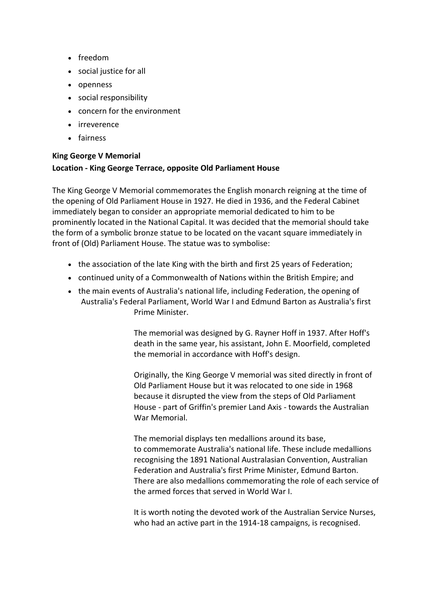- freedom
- social justice for all
- openness
- social responsibility
- concern for the environment
- **·** irreverence
- fairness

# **King George V Memorial Location - King George Terrace, opposite Old Parliament House**

The King George V Memorial commemorates the English monarch reigning at the time of the opening of Old Parliament House in 1927. He died in 1936, and the Federal Cabinet immediately began to consider an appropriate memorial dedicated to him to be prominently located in the National Capital. It was decided that the memorial should take the form of a symbolic bronze statue to be located on the vacant square immediately in front of (Old) Parliament House. The statue was to symbolise:

- the association of the late King with the birth and first 25 years of Federation;
- continued unity of a Commonwealth of Nations within the British Empire; and
- the main events of Australia's national life, including Federation, the opening of Australia's Federal Parliament, World War I and Edmund Barton as Australia's first Prime Minister.

The memorial was designed by G. Rayner Hoff in 1937. After Hoff's death in the same year, his assistant, John E. Moorfield, completed the memorial in accordance with Hoff's design.

Originally, the King George V memorial was sited directly in front of Old Parliament House but it was relocated to one side in 1968 because it disrupted the view from the steps of Old Parliament House - part of Griffin's premier Land Axis - towards the Australian War Memorial.

The memorial displays ten medallions around its base, to commemorate Australia's national life. These include medallions recognising the 1891 National Australasian Convention, Australian Federation and Australia's first Prime Minister, Edmund Barton. There are also medallions commemorating the role of each service of the armed forces that served in World War I.

It is worth noting the devoted work of the Australian Service Nurses, who had an active part in the 1914-18 campaigns, is recognised.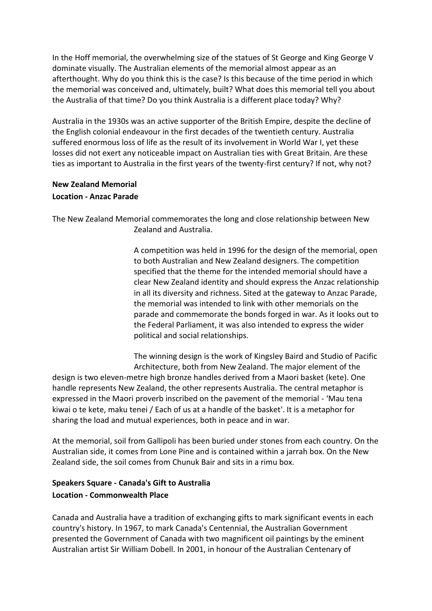In the Hoff memorial, the overwhelming size of the statues of St George and King George V dominate visually. The Australian elements of the memorial almost appear as an afterthought. Why do you think this is the case? Is this because of the time period in which the memorial was conceived and, ultimately, built? What does this memorial tell you about the Australia of that time? Do you think Australia is a different place today? Why?

Australia in the 1930s was an active supporter of the British Empire, despite the decline of the English colonial endeavour in the first decades of the twentieth century. Australia suffered enormous loss of life as the result of its involvement in World War I, yet these losses did not exert any noticeable impact on Australian ties with Great Britain. Are these ties as important to Australia in the first years of the twenty-first century? If not, why not?

## **New Zealand Memorial Location - Anzac Parade**

The New Zealand Memorial commemorates the long and close relationship between New Zealand and Australia.

> A competition was held in 1996 for the design of the memorial, open to both Australian and New Zealand designers. The competition specified that the theme for the intended memorial should have a clear New Zealand identity and should express the Anzac relationship in all its diversity and richness. Sited at the gateway to Anzac Parade, the memorial was intended to link with other memorials on the parade and commemorate the bonds forged in war. As it looks out to the Federal Parliament, it was also intended to express the wider political and social relationships.

The winning design is the work of Kingsley Baird and Studio of Pacific Architecture, both from New Zealand. The major element of the design is two eleven-metre high bronze handles derived from a Maori basket (kete). One handle represents New Zealand, the other represents Australia. The central metaphor is expressed in the Maori proverb inscribed on the pavement of the memorial - 'Mau tena kiwai o te kete, maku tenei / Each of us at a handle of the basket'. It is a metaphor for sharing the load and mutual experiences, both in peace and in war.

At the memorial, soil from Gallipoli has been buried under stones from each country. On the Australian side, it comes from Lone Pine and is contained within a jarrah box. On the New Zealand side, the soil comes from Chunuk Bair and sits in a rimu box.

# **Speakers Square - Canada's Gift to Australia Location - Commonwealth Place**

Canada and Australia have a tradition of exchanging gifts to mark significant events in each country's history. In 1967, to mark Canada's Centennial, the Australian Government presented the Government of Canada with two magnificent oil paintings by the eminent Australian artist Sir William Dobell. In 2001, in honour of the Australian Centenary of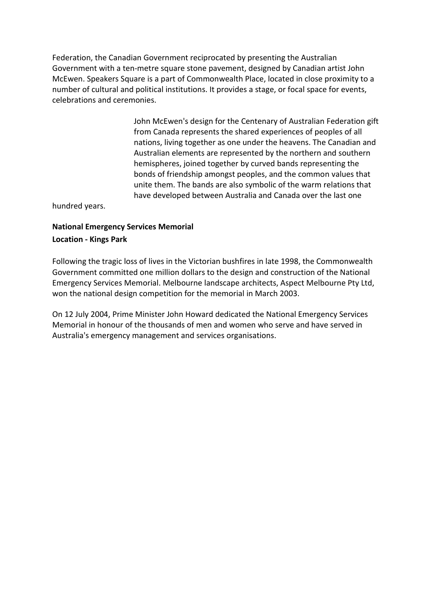Federation, the Canadian Government reciprocated by presenting the Australian Government with a ten-metre square stone pavement, designed by Canadian artist John McEwen. Speakers Square is a part of Commonwealth Place, located in close proximity to a number of cultural and political institutions. It provides a stage, or focal space for events, celebrations and ceremonies.

> John McEwen's design for the Centenary of Australian Federation gift from Canada represents the shared experiences of peoples of all nations, living together as one under the heavens. The Canadian and Australian elements are represented by the northern and southern hemispheres, joined together by curved bands representing the bonds of friendship amongst peoples, and the common values that unite them. The bands are also symbolic of the warm relations that have developed between Australia and Canada over the last one

hundred years.

# **National Emergency Services Memorial Location - Kings Park**

Following the tragic loss of lives in the Victorian bushfires in late 1998, the Commonwealth Government committed one million dollars to the design and construction of the National Emergency Services Memorial. Melbourne landscape architects, Aspect Melbourne Pty Ltd, won the national design competition for the memorial in March 2003.

On 12 July 2004, Prime Minister John Howard dedicated the National Emergency Services Memorial in honour of the thousands of men and women who serve and have served in Australia's emergency management and services organisations.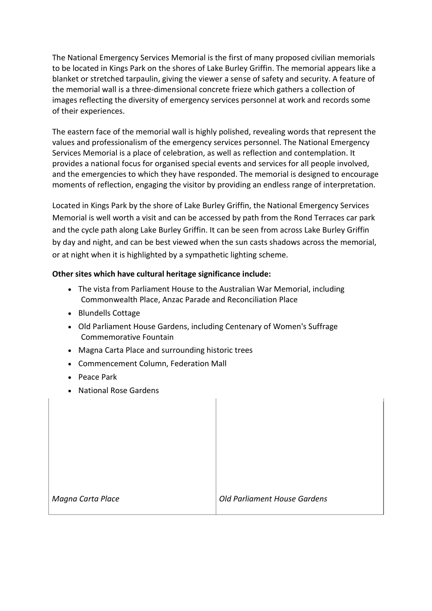The National Emergency Services Memorial is the first of many proposed civilian memorials to be located in Kings Park on the shores of Lake Burley Griffin. The memorial appears like a blanket or stretched tarpaulin, giving the viewer a sense of safety and security. A feature of the memorial wall is a three-dimensional concrete frieze which gathers a collection of images reflecting the diversity of emergency services personnel at work and records some of their experiences.

The eastern face of the memorial wall is highly polished, revealing words that represent the values and professionalism of the emergency services personnel. The National Emergency Services Memorial is a place of celebration, as well as reflection and contemplation. It provides a national focus for organised special events and services for all people involved, and the emergencies to which they have responded. The memorial is designed to encourage moments of reflection, engaging the visitor by providing an endless range of interpretation.

Located in Kings Park by the shore of Lake Burley Griffin, the National Emergency Services Memorial is well worth a visit and can be accessed by path from the Rond Terraces car park and the cycle path along Lake Burley Griffin. It can be seen from across Lake Burley Griffin by day and night, and can be best viewed when the sun casts shadows across the memorial, or at night when it is highlighted by a sympathetic lighting scheme.

## **Other sites which have cultural heritage significance include:**

- The vista from Parliament House to the Australian War Memorial, including Commonwealth Place, Anzac Parade and Reconciliation Place
- Blundells Cottage
- Old Parliament House Gardens, including Centenary of Women's Suffrage Commemorative Fountain
- Magna Carta Place and surrounding historic trees
- Commencement Column, Federation Mall
- Peace Park
- National Rose Gardens

*Magna Carta Place Old Parliament House Gardens*